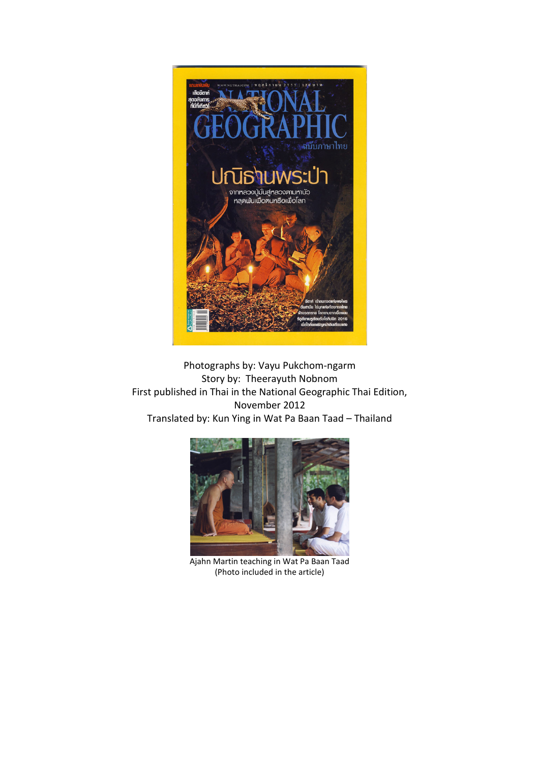

Photographs by: Vayu Pukchom-ngarm Story by: Theerayuth Nobnom First published in Thai in the National Geographic Thai Edition, November 2012 Translated by: Kun Ying in Wat Pa Baan Taad – Thailand



Ajahn Martin teaching in Wat Pa Baan Taad (Photo included in the article)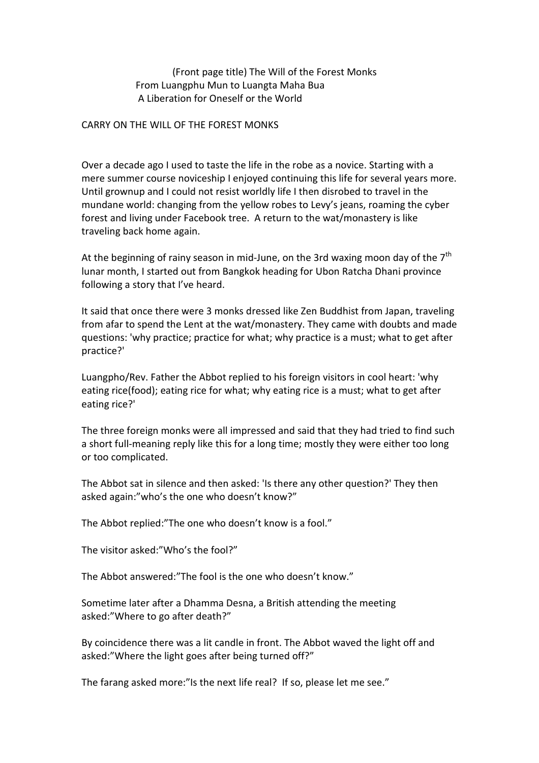## (Front page title) The Will of the Forest Monks From Luangphu Mun to Luangta Maha Bua A Liberation for Oneself or the World

## CARRY ON THE WILL OF THE FOREST MONKS

Over a decade ago I used to taste the life in the robe as a novice. Starting with a mere summer course noviceship I enjoyed continuing this life for several years more. Until grownup and I could not resist worldly life I then disrobed to travel in the mundane world: changing from the yellow robes to Levy's jeans, roaming the cyber forest and living under Facebook tree. A return to the wat/monastery is like traveling back home again.

At the beginning of rainy season in mid-June, on the 3rd waxing moon day of the  $7<sup>th</sup>$ lunar month, I started out from Bangkok heading for Ubon Ratcha Dhani province following a story that I've heard.

It said that once there were 3 monks dressed like Zen Buddhist from Japan, traveling from afar to spend the Lent at the wat/monastery. They came with doubts and made questions: 'why practice; practice for what; why practice is a must; what to get after practice?'

Luangpho/Rev. Father the Abbot replied to his foreign visitors in cool heart: 'why eating rice(food); eating rice for what; why eating rice is a must; what to get after eating rice?'

The three foreign monks were all impressed and said that they had tried to find such a short full-meaning reply like this for a long time; mostly they were either too long or too complicated.

The Abbot sat in silence and then asked: 'Is there any other question?' They then asked again:"who's the one who doesn't know?"

The Abbot replied:"The one who doesn't know is a fool."

The visitor asked:"Who's the fool?"

The Abbot answered:"The fool is the one who doesn't know."

Sometime later after a Dhamma Desna, a British attending the meeting asked:"Where to go after death?"

By coincidence there was a lit candle in front. The Abbot waved the light off and asked:"Where the light goes after being turned off?"

The farang asked more:"Is the next life real? If so, please let me see."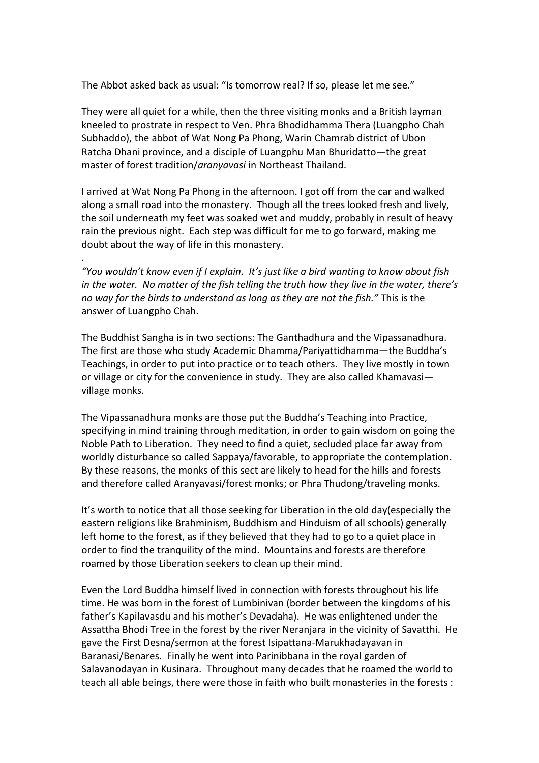The Abbot asked back as usual: "Is tomorrow real? If so, please let me see."

They were all quiet for a while, then the three visiting monks and a British layman kneeled to prostrate in respect to Ven. Phra Bhodidhamma Thera (Luangpho Chah Subhaddo), the abbot of Wat Nong Pa Phong, Warin Chamrab district of Ubon Ratcha Dhani province, and a disciple of Luangphu Man Bhuridatto—the great master of forest tradition/*aranyavasi* in Northeast Thailand.

I arrived at Wat Nong Pa Phong in the afternoon. I got off from the car and walked along a small road into the monastery. Though all the trees looked fresh and lively, the soil underneath my feet was soaked wet and muddy, probably in result of heavy rain the previous night. Each step was difficult for me to go forward, making me doubt about the way of life in this monastery.

.

*"You wouldn't know even if I explain. It's just like a bird wanting to know about fish in the water. No matter of the fish telling the truth how they live in the water, there's no way for the birds to understand as long as they are not the fish."* This is the answer of Luangpho Chah.

The Buddhist Sangha is in two sections: The Ganthadhura and the Vipassanadhura. The first are those who study Academic Dhamma/Pariyattidhamma—the Buddha's Teachings, in order to put into practice or to teach others. They live mostly in town or village or city for the convenience in study. They are also called Khamavasi village monks.

The Vipassanadhura monks are those put the Buddha's Teaching into Practice, specifying in mind training through meditation, in order to gain wisdom on going the Noble Path to Liberation. They need to find a quiet, secluded place far away from worldly disturbance so called Sappaya/favorable, to appropriate the contemplation. By these reasons, the monks of this sect are likely to head for the hills and forests and therefore called Aranyavasi/forest monks; or Phra Thudong/traveling monks.

It's worth to notice that all those seeking for Liberation in the old day(especially the eastern religions like Brahminism, Buddhism and Hinduism of all schools) generally left home to the forest, as if they believed that they had to go to a quiet place in order to find the tranquility of the mind. Mountains and forests are therefore roamed by those Liberation seekers to clean up their mind.

Even the Lord Buddha himself lived in connection with forests throughout his life time. He was born in the forest of Lumbinivan (border between the kingdoms of his father's Kapilavasdu and his mother's Devadaha). He was enlightened under the Assattha Bhodi Tree in the forest by the river Neranjara in the vicinity of Savatthi. He gave the First Desna/sermon at the forest Isipattana-Marukhadayavan in Baranasi/Benares. Finally he went into Parinibbana in the royal garden of Salavanodayan in Kusinara. Throughout many decades that he roamed the world to teach all able beings, there were those in faith who built monasteries in the forests :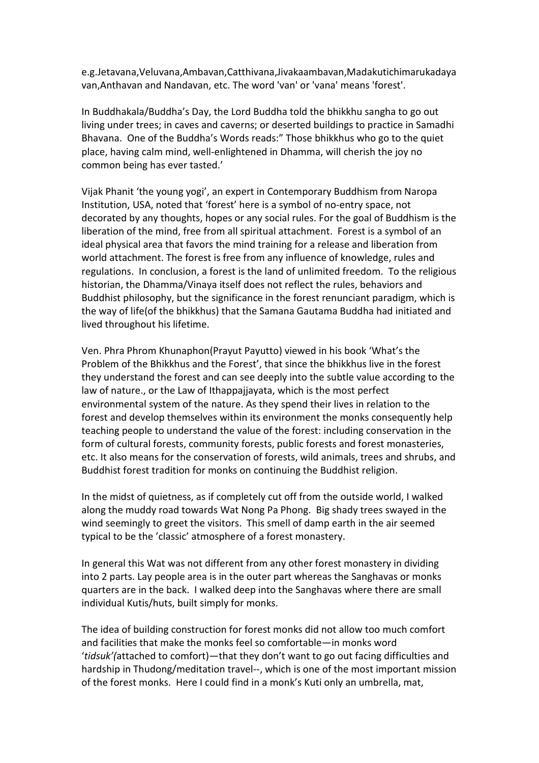e.g.Jetavana,Veluvana,Ambavan,Catthivana,Jivakaambavan,Madakutichimarukadaya van,Anthavan and Nandavan, etc. The word 'van' or 'vana' means 'forest'.

In Buddhakala/Buddha's Day, the Lord Buddha told the bhikkhu sangha to go out living under trees; in caves and caverns; or deserted buildings to practice in Samadhi Bhavana. One of the Buddha's Words reads:" Those bhikkhus who go to the quiet place, having calm mind, well-enlightened in Dhamma, will cherish the joy no common being has ever tasted.'

Vijak Phanit 'the young yogi', an expert in Contemporary Buddhism from Naropa Institution, USA, noted that 'forest' here is a symbol of no-entry space, not decorated by any thoughts, hopes or any social rules. For the goal of Buddhism is the liberation of the mind, free from all spiritual attachment. Forest is a symbol of an ideal physical area that favors the mind training for a release and liberation from world attachment. The forest is free from any influence of knowledge, rules and regulations. In conclusion, a forest is the land of unlimited freedom. To the religious historian, the Dhamma/Vinaya itself does not reflect the rules, behaviors and Buddhist philosophy, but the significance in the forest renunciant paradigm, which is the way of life(of the bhikkhus) that the Samana Gautama Buddha had initiated and lived throughout his lifetime.

Ven. Phra Phrom Khunaphon(Prayut Payutto) viewed in his book 'What's the Problem of the Bhikkhus and the Forest', that since the bhikkhus live in the forest they understand the forest and can see deeply into the subtle value according to the law of nature., or the Law of Ithappajjayata, which is the most perfect environmental system of the nature. As they spend their lives in relation to the forest and develop themselves within its environment the monks consequently help teaching people to understand the value of the forest: including conservation in the form of cultural forests, community forests, public forests and forest monasteries, etc. It also means for the conservation of forests, wild animals, trees and shrubs, and Buddhist forest tradition for monks on continuing the Buddhist religion.

In the midst of quietness, as if completely cut off from the outside world, I walked along the muddy road towards Wat Nong Pa Phong. Big shady trees swayed in the wind seemingly to greet the visitors. This smell of damp earth in the air seemed typical to be the 'classic' atmosphere of a forest monastery.

In general this Wat was not different from any other forest monastery in dividing into 2 parts. Lay people area is in the outer part whereas the Sanghavas or monks quarters are in the back. I walked deep into the Sanghavas where there are small individual Kutis/huts, built simply for monks.

The idea of building construction for forest monks did not allow too much comfort and facilities that make the monks feel so comfortable—in monks word '*tidsuk'(*attached to comfort)—that they don't want to go out facing difficulties and hardship in Thudong/meditation travel--, which is one of the most important mission of the forest monks. Here I could find in a monk's Kuti only an umbrella, mat,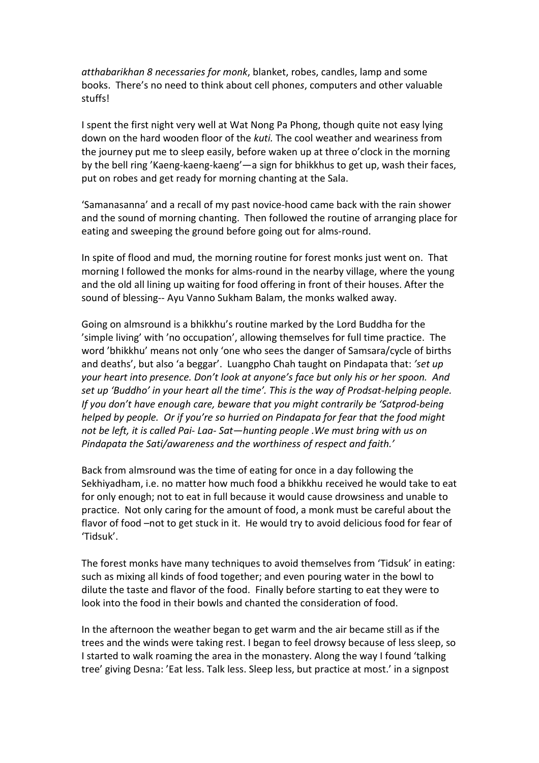*atthabarikhan 8 necessaries for monk*, blanket, robes, candles, lamp and some books. There's no need to think about cell phone*s*, computers and other valuable stuffs!

I spent the first night very well at Wat Nong Pa Phong, though quite not easy lying down on the hard wooden floor of the *kuti.* The cool weather and weariness from the journey put me to sleep easily, before waken up at three o'clock in the morning by the bell ring 'Kaeng-kaeng-kaeng'—a sign for bhikkhus to get up, wash their faces, put on robes and get ready for morning chanting at the Sala.

'Samanasanna' and a recall of my past novice-hood came back with the rain shower and the sound of morning chanting. Then followed the routine of arranging place for eating and sweeping the ground before going out for alms-round.

In spite of flood and mud, the morning routine for forest monks just went on. That morning I followed the monks for alms-round in the nearby village, where the young and the old all lining up waiting for food offering in front of their houses. After the sound of blessing-- Ayu Vanno Sukham Balam, the monks walked away.

Going on almsround is a bhikkhu's routine marked by the Lord Buddha for the 'simple living' with 'no occupation', allowing themselves for full time practice. The word 'bhikkhu' means not only 'one who sees the danger of Samsara/cycle of births and deaths', but also 'a beggar'. Luangpho Chah taught on Pindapata that: *'set up your heart into presence. Don't look at anyone's face but only his or her spoon. And set up 'Buddho' in your heart all the time'. This is the way of Prodsat-helping people. If you don't have enough care, beware that you might contrarily be 'Satprod-being helped by people. Or if you're so hurried on Pindapata for fear that the food might not be left, it is called Pai- Laa- Sat—hunting people .We must bring with us on Pindapata the Sati/awareness and the worthiness of respect and faith.'* 

Back from almsround was the time of eating for once in a day following the Sekhiyadham, i.e. no matter how much food a bhikkhu received he would take to eat for only enough; not to eat in full because it would cause drowsiness and unable to practice. Not only caring for the amount of food, a monk must be careful about the flavor of food –not to get stuck in it. He would try to avoid delicious food for fear of 'Tidsuk'.

The forest monks have many techniques to avoid themselves from 'Tidsuk' in eating: such as mixing all kinds of food together; and even pouring water in the bowl to dilute the taste and flavor of the food. Finally before starting to eat they were to look into the food in their bowls and chanted the consideration of food.

In the afternoon the weather began to get warm and the air became still as if the trees and the winds were taking rest. I began to feel drowsy because of less sleep, so I started to walk roaming the area in the monastery. Along the way I found 'talking tree' giving Desna: 'Eat less. Talk less. Sleep less, but practice at most.' in a signpost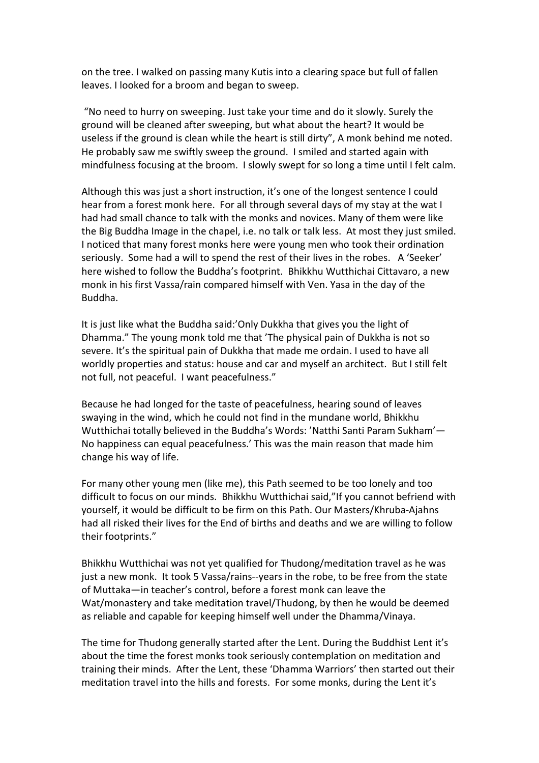on the tree. I walked on passing many Kutis into a clearing space but full of fallen leaves. I looked for a broom and began to sweep.

 "No need to hurry on sweeping. Just take your time and do it slowly. Surely the ground will be cleaned after sweeping, but what about the heart? It would be useless if the ground is clean while the heart is still dirty", A monk behind me noted. He probably saw me swiftly sweep the ground. I smiled and started again with mindfulness focusing at the broom. I slowly swept for so long a time until I felt calm.

Although this was just a short instruction, it's one of the longest sentence I could hear from a forest monk here. For all through several days of my stay at the wat I had had small chance to talk with the monks and novices. Many of them were like the Big Buddha Image in the chapel, i.e. no talk or talk less. At most they just smiled. I noticed that many forest monks here were young men who took their ordination seriously. Some had a will to spend the rest of their lives in the robes. A 'Seeker' here wished to follow the Buddha's footprint. Bhikkhu Wutthichai Cittavaro, a new monk in his first Vassa/rain compared himself with Ven. Yasa in the day of the Buddha.

It is just like what the Buddha said:'Only Dukkha that gives you the light of Dhamma." The young monk told me that 'The physical pain of Dukkha is not so severe. It's the spiritual pain of Dukkha that made me ordain. I used to have all worldly properties and status: house and car and myself an architect. But I still felt not full, not peaceful. I want peacefulness."

Because he had longed for the taste of peacefulness, hearing sound of leaves swaying in the wind, which he could not find in the mundane world, Bhikkhu Wutthichai totally believed in the Buddha's Words: 'Natthi Santi Param Sukham'— No happiness can equal peacefulness.' This was the main reason that made him change his way of life.

For many other young men (like me), this Path seemed to be too lonely and too difficult to focus on our minds. Bhikkhu Wutthichai said,"If you cannot befriend with yourself, it would be difficult to be firm on this Path. Our Masters/Khruba-Ajahns had all risked their lives for the End of births and deaths and we are willing to follow their footprints."

Bhikkhu Wutthichai was not yet qualified for Thudong/meditation travel as he was just a new monk. It took 5 Vassa/rains--years in the robe, to be free from the state of Muttaka—in teacher's control, before a forest monk can leave the Wat/monastery and take meditation travel/Thudong, by then he would be deemed as reliable and capable for keeping himself well under the Dhamma/Vinaya.

The time for Thudong generally started after the Lent. During the Buddhist Lent it's about the time the forest monks took seriously contemplation on meditation and training their minds. After the Lent, these 'Dhamma Warriors' then started out their meditation travel into the hills and forests. For some monks, during the Lent it's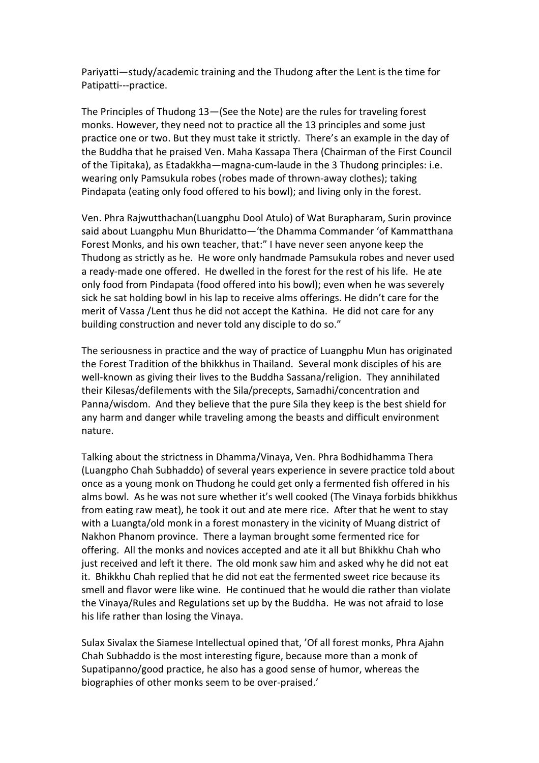Pariyatti—study/academic training and the Thudong after the Lent is the time for Patipatti---practice.

The Principles of Thudong 13—(See the Note) are the rules for traveling forest monks. However, they need not to practice all the 13 principles and some just practice one or two. But they must take it strictly. There's an example in the day of the Buddha that he praised Ven. Maha Kassapa Thera (Chairman of the First Council of the Tipitaka), as Etadakkha—magna-cum-laude in the 3 Thudong principles: i.e. wearing only Pamsukula robes (robes made of thrown-away clothes); taking Pindapata (eating only food offered to his bowl); and living only in the forest.

Ven. Phra Rajwutthachan(Luangphu Dool Atulo) of Wat Burapharam, Surin province said about Luangphu Mun Bhuridatto—'the Dhamma Commander 'of Kammatthana Forest Monks, and his own teacher, that:" I have never seen anyone keep the Thudong as strictly as he. He wore only handmade Pamsukula robes and never used a ready-made one offered. He dwelled in the forest for the rest of his life. He ate only food from Pindapata (food offered into his bowl); even when he was severely sick he sat holding bowl in his lap to receive alms offerings. He didn't care for the merit of Vassa /Lent thus he did not accept the Kathina. He did not care for any building construction and never told any disciple to do so."

The seriousness in practice and the way of practice of Luangphu Mun has originated the Forest Tradition of the bhikkhus in Thailand. Several monk disciples of his are well-known as giving their lives to the Buddha Sassana/religion. They annihilated their Kilesas/defilements with the Sila/precepts, Samadhi/concentration and Panna/wisdom. And they believe that the pure Sila they keep is the best shield for any harm and danger while traveling among the beasts and difficult environment nature.

Talking about the strictness in Dhamma/Vinaya, Ven. Phra Bodhidhamma Thera (Luangpho Chah Subhaddo) of several years experience in severe practice told about once as a young monk on Thudong he could get only a fermented fish offered in his alms bowl. As he was not sure whether it's well cooked (The Vinaya forbids bhikkhus from eating raw meat), he took it out and ate mere rice. After that he went to stay with a Luangta/old monk in a forest monastery in the vicinity of Muang district of Nakhon Phanom province. There a layman brought some fermented rice for offering. All the monks and novices accepted and ate it all but Bhikkhu Chah who just received and left it there. The old monk saw him and asked why he did not eat it. Bhikkhu Chah replied that he did not eat the fermented sweet rice because its smell and flavor were like wine. He continued that he would die rather than violate the Vinaya/Rules and Regulations set up by the Buddha. He was not afraid to lose his life rather than losing the Vinaya.

Sulax Sivalax the Siamese Intellectual opined that, 'Of all forest monks, Phra Ajahn Chah Subhaddo is the most interesting figure, because more than a monk of Supatipanno/good practice, he also has a good sense of humor, whereas the biographies of other monks seem to be over-praised.'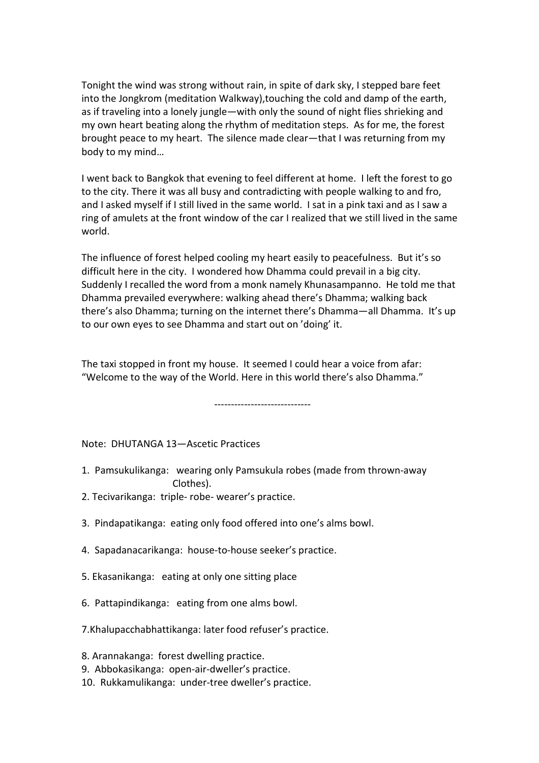Tonight the wind was strong without rain, in spite of dark sky, I stepped bare feet into the Jongkrom (meditation Walkway),touching the cold and damp of the earth, as if traveling into a lonely jungle—with only the sound of night flies shrieking and my own heart beating along the rhythm of meditation steps. As for me, the forest brought peace to my heart. The silence made clear—that I was returning from my body to my mind…

I went back to Bangkok that evening to feel different at home. I left the forest to go to the city. There it was all busy and contradicting with people walking to and fro, and I asked myself if I still lived in the same world. I sat in a pink taxi and as I saw a ring of amulets at the front window of the car I realized that we still lived in the same world.

The influence of forest helped cooling my heart easily to peacefulness. But it's so difficult here in the city. I wondered how Dhamma could prevail in a big city. Suddenly I recalled the word from a monk namely Khunasampanno. He told me that Dhamma prevailed everywhere: walking ahead there's Dhamma; walking back there's also Dhamma; turning on the internet there's Dhamma—all Dhamma. It's up to our own eyes to see Dhamma and start out on 'doing' it.

The taxi stopped in front my house. It seemed I could hear a voice from afar: "Welcome to the way of the World. Here in this world there's also Dhamma."

-----------------------------

Note: DHUTANGA 13—Ascetic Practices

- 1. Pamsukulikanga: wearing only Pamsukula robes (made from thrown-away Clothes).
- 2. Tecivarikanga: triple- robe- wearer's practice.
- 3. Pindapatikanga: eating only food offered into one's alms bowl.
- 4. Sapadanacarikanga: house-to-house seeker's practice.
- 5. Ekasanikanga: eating at only one sitting place
- 6. Pattapindikanga: eating from one alms bowl.
- 7.Khalupacchabhattikanga: later food refuser's practice.
- 8. Arannakanga: forest dwelling practice.
- 9. Abbokasikanga: open-air-dweller's practice.
- 10. Rukkamulikanga: under-tree dweller's practice.